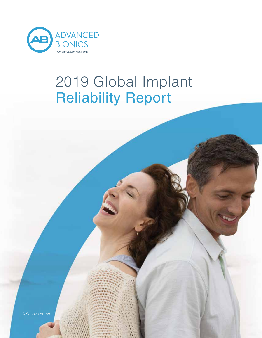

# 2019 Global Implant Reliability Report

A Sonova brand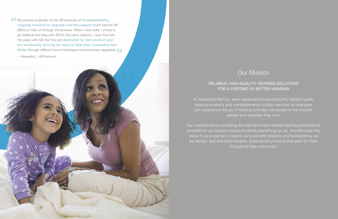2 2018 Global Implant Reliability Report



# Our Mission

## RELIABLE, HIGH-QUALITY HEARING SOLUTIONS FOR A LIFETIME OF BETTER HEARING

At Advanced Bionics, we're dedicated to providing the highest quality hearing products and comprehensive, custom services so everyone can experience the joy of hearing and stay connected to the sounds, people and activities they love.

Our commitment to providing the best and most reliable hearing performance possible for our implant recipients drives everything we do. And the trust they place in us to deliver it inspires us to act with integrity and transparency as we design, test and build durable, future-proof products that work for them throughout their entire lives.

**My parents originally chose AB because of it's dependability, ongoing research to upgrade and the support team** behind AB (BEA) to help us through the process. When I was older, I chose to go bilateral and stay with AB for the same reasons. I saw that over the years with AB that they are **dedicated to their product and are continually striving for ways to help their customers hear better** through different sound strategies and processor upgrades.

— Alexandra L., AB Recipient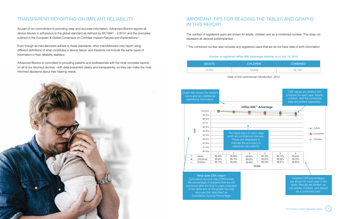# TRANSPARENT REPORTING ON IMPLANT RELIABILITY

As part of our commitment to providing clear and accurate information, Advanced Bionics reports all device failures in adherence to the global standard as defined by ISO 5841 – 2:20141 and the principles outlined in the *European & Global Consensus on Cochlear Implant Failures and Explantations.*<sup>2</sup>

Even though all manufacturers adhere to these standards, other manufacturers may report using different definitions of what constitutes a device failure, and therefore not include the same types of information in their reliability statistics.

Advanced Bionics is committed to providing patients and professionals with the most complete reports on all of our returned devices --with data presented clearly and transparently, so they can make the most informed decisions about their hearing needs.



| <b>ADULTS</b> | <b>CHILDREN</b> | <b>COMBINED</b> |
|---------------|-----------------|-----------------|
| 14,531        | 16,643          | $32,745*$       |

# IMPORTANT TIPS FOR READING THE TABLES AND GRAPHS IN THIS REPORT



in the table and on the graph.You may also see this described as Cumulative Survival Percentage.



Number of registered HiRes 90K Advantage implants as of July 15, 2019

*Date of first commercial introduction: 2012*

The number of registered users are shown for adults, children and as a combined number. This does not represent all devices sold/implanted.

\* The combined number also includes any registered users that we do not have date of birth information.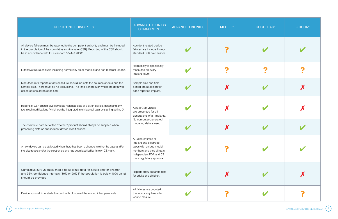| <b>REPORTING PRINCIPLES</b>                                                                                                                                                                                                                    | <b>ADVANCED BIONICS</b><br><b>COMMITMENT</b>                                                                                                                  | <b>ADVANCED BIONICS</b> | MED EL <sup>5</sup> | <b>COCHLEAR4</b> | <b>OTICON</b> <sup>6</sup> |
|------------------------------------------------------------------------------------------------------------------------------------------------------------------------------------------------------------------------------------------------|---------------------------------------------------------------------------------------------------------------------------------------------------------------|-------------------------|---------------------|------------------|----------------------------|
| All device failures must be reported to the competent authority and must be included<br>in the calculation of the cumulative survival rate (CSR). Reporting of the CSR should<br>be in accordance with ISO standard 5841-2:2000 <sup>1</sup> . | Accident related device<br>failures are included in our<br>standard CSR calculations.                                                                         |                         |                     |                  |                            |
| Extensive failure analysis including hermeticity on all medical and non-medical returns.                                                                                                                                                       | Hermeticity is specifically<br>measured on every<br>implant return.                                                                                           |                         |                     |                  |                            |
| Manufacturers reports of device failure should indicate the sources of data and the<br>sample size. There must be no exclusions. The time period over which the data was<br>collected should be specified.                                     | Sample size and time<br>period are specified for<br>each reported implant.                                                                                    |                         |                     |                  |                            |
| Reports of CSR should give complete historical data of a given device, describing any<br>technical modifications (which can be integrated into historical data by starting at time 0).                                                         | <b>Actual CSR values</b><br>are presented for all<br>generations of all implants.                                                                             |                         |                     |                  |                            |
| The complete data set of the "mother" product should always be supplied when<br>presenting data on subsequent device modifications.                                                                                                            | No computer-generated<br>modeling data is used.                                                                                                               |                         |                     |                  |                            |
| A new device can be attributed when there has been a change in either the case and/or<br>the electrodes and/or the electronics and has been labelled by its own CE mark.                                                                       | AB differentiates all<br>implant and electrode<br>types with unique model<br>numbers and they all gain<br>independent FDA and CE<br>mark regulatory approval. |                         |                     |                  |                            |
| Cumulative survival rates should be split into data for adults and for children<br>and 95% confidence intervals (80% or 90% if the population is below 1000 units)<br>should be provided.                                                      | Reports show separate data<br>for adults and children.                                                                                                        |                         |                     |                  |                            |
| Device survival time starts to count with closure of the wound intraoperatively.                                                                                                                                                               | All failures are counted<br>that occur any time after<br>wound closure.                                                                                       |                         |                     |                  |                            |

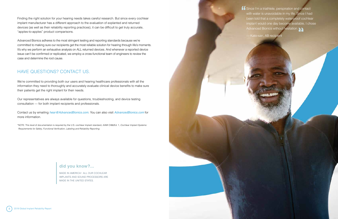

**ff** Since I'm a triathlete, perspiration and contact with water is unavoidable in my life. Since I had been told that a completely waterproof cochlear implant would one day become available, I chose Advanced Bionics without hesitation.  $\sum$ 

Finding the right solution for your hearing needs takes careful research. But since every cochlear implant manufacturer has a different approach to the evaluation of explanted and returned devices (as well as their reliability reporting practices), it can be difficult to get truly accurate, "apples-to-apples" product comparisons.

Advanced Bionics adheres to the most stringent testing and reporting standards because we're committed to making sure our recipients get the most reliable solution for hearing through life's moments. It's why we perform an exhaustive analysis on ALL returned devices. And whenever a reported device issue can't be confirmed or replicated, we employ a cross-functional team of engineers to review the case and determine the root cause.

# HAVE QUESTIONS? CONTACT US.

We're committed to providing both our users and hearing healthcare professionals with all the information they need to thoroughly and accurately evaluate clinical device benefits to make sure their patients get the right implant for their needs.

Our representatives are always available for questions, troubleshooting, and device testing consultation — for both implant recipients and professionals.

Contact us by emailing *hear@AdvancedBionics.com*. You can also visit *AdvancedBionics.com* for more information.

\*NOTE: This level of documentation is required by the U.S. cochlear implant standard, AAMI CI86/Ed. 1, *Cochlear Implant Systems: Requirements for Safety, Functional Verification, Labeling and Reliability Reporting.*

## **did you know?...**

MADE IN AMERICA! ALL OUR COCHLEAR IMPLANTS AND SOUND PROCESSORS ARE MADE IN THE UNITED STATES.

— Kato-san, AB recipient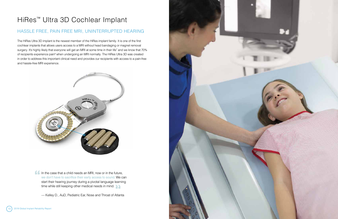

# HiRes™ Ultra 3D Cochlear Implant

# HASSLE FREE, PAIN FREE MRI, UNINTERRUPTED HEARING

The HiRes Ultra 3D implant is the newest member of the HiRes implant family. It is one of the first cochlear implants that allows users access to a MRI without head bandaging or magnet removal surgery. It's highly likely that everyone will get an MRI at some time in their life<sup>7</sup> and we know that 70% of recipients experience pain<sup>8</sup> when undergoing an MRI normally. The HiRes Ultra 3D was created in order to address this important clinical need and provides our recipients with access to a pain-free and hassle-free MRI experience.



In the case that a child needs an MRI, now or in the future, we don't have to sacrifice their early access to sound. We can start their hearing journey during a pivotal language learning time while still keeping other medical needs in mind.

— Kelley D., AuD, Pediatric Ear, Nose and Throat of Atlanta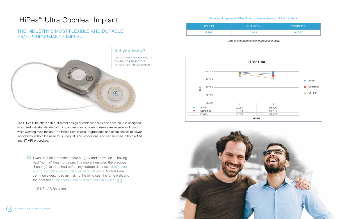

| <b>ADULTS</b> | <b>CHILDREN</b> | <b>COMBINED</b> |
|---------------|-----------------|-----------------|
| 5,903         | 2,819           | $9.021*$        |

The HiRes Ultra offers a thin, discreet design suitable for adults and children. It is designed to exceed industry standards for impact resistance, offering users greater peace of mind while wearing their implant. The HiRes Ultra is also upgradeable and offers access to newer innovations without the need for surgery. It is MR conditional and can be used in both a 1.5T and 3T MRI procedure.

**If** I was deaf for 7 months before surgery and activation — having had "normal" hearing before. The implant restored the previous "hearing" life that I had before my sudden deafness. It made an enormous difference in quality of life on all levels. Miracles are commonly described as making the blind see, the lame walk and the deaf hear. The implant has been a miracle in my life.

100.00% 99.50% CSR 99.00% 98.50% 98.00% 1 Adults 99.96%  $\overline{\phantom{a}}$ Combined ц. 99.94% Children 99.87%  $\rightarrow$ 

# HiRes<sup>™</sup> Ultra Cochlear Implant as of July 15, 2019

## THE INDUSTRY'S MOST FLEXIBLE AND DURABLE HIGH-PERFORMANCE IMPLANT

*Date of first commercial introduction: 2016*

— Bill S., AB Recipient



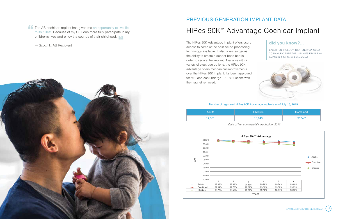

The HiRes 90K Advantage implant offers users access to some of the best sound processing technology available. It also offers surgeons the ability to create a deeper bone bed in order to secure the implant. Available with a variety of electrode options, the HiRes 90K advantage offers mechanical improvements over the HiRes 90K implant. It's been approved for MRI and can undergo 1.5T MRI scans with the magnet removed.

# HiRes 90K™ Advantage Cochlear Implant PREVIOUS-GENERATION IMPLANT DATA

| <b>Adults</b> | Children | Combined   |
|---------------|----------|------------|
| 14,531        | 16,643   | $32,745^*$ |

### Number of registered HiRes 90K Advantage implants as of July 15, 2019



*Date of first commercial introduction: 2012*

# **did you know?...**

LASER TECHNOLOGY IS EXTENSIVELY USED TO MANUFACTURE THE IMPLANTS FROM RAW MATERIALS TO FINAL PACKAGING..





**f** The AB cochlear implant has given me an opportunity to live life to its fullest. Because of my CI, I can more fully participate in my children's lives and enjoy the sounds of their childhood.

— Scott H., AB Recipient

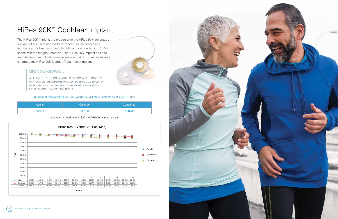



# HiRes 90K™ Cochlear Implant

The HiRes 90K implant, the precursor to the HiRes 90K advantage implant, offers users access to advanced sound processing technology. It's been approved for MRI and can undergo 1.5T MRI scans with the magnet removed. The HiRes 90K implant has had manufacturing modifications—the version that is currently available is termed the HiRes 90K (vendor A post-mod) implant.

| <b>Adults</b> | <b>Children</b> | Combined |
|---------------|-----------------|----------|
| 30,618        | 41,120          | 73,878*  |

### Number of registered HiRes 90K (Vendor A Post Mod) implants as of July 15, 2019

### *Last year of distribution9 : Still available in select markets*

## **did you know?...**

AB IS PART OF THE SONOVA GROUP OF COMPANIES. TOGETHER WITH OUR SISTER COMPANY, PHONAK, WE HAVE COMBINED TO BRING STATE-OF-THE-ART SOLUTIONS FROM THE HEARING AID FIELD TO COCHLEAR IMPLANT USERS.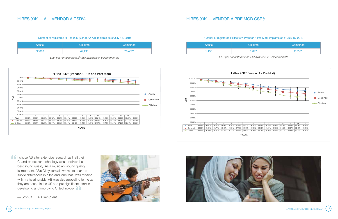

**If** I chose AB after extensive research as I felt their CI and processor technology would deliver the best sound quality. As a musician, sound quality is important. AB's CI system allows me to hear the subtle differences in pitch and tone that I was missing with my hearing aids. AB was also appealing to me as they are based in the US and put significant effort in developing and improving CI technology.

| <b>Adults</b> | Children | Combined <sup>1</sup> |
|---------------|----------|-----------------------|
| 32,068        | 42.211   | 76,432*               |

### Number of registered HiRes 90K (Vendor A All) implants as of July 15, 2019

# HIRES 90K — ALL VENDOR A CSR% HIRES 90K — VENDOR A PRE MOD CSR%

| <b>Adults</b> | Children | Combined |
|---------------|----------|----------|
| 1.450         | 1,092    | $2,555*$ |



### Number of registered HiRes 90K (Vendor A Pre Mod) implants as of July 15, 2019





Last year of distribution<sup>9</sup>: Still available in select markets

*Last year of distribution9 : Still available in select markets Last year of distribution9*

— Joshua T., AB Recipient



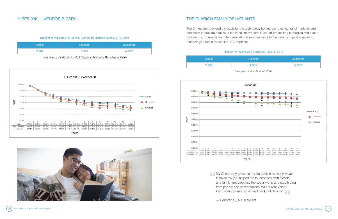

**My CI has truly gave me my life back in so many ways.** It saved my job, helped me to reconnect with friends and family, get back into the social world and stop hiding from people and conversations. With "Clear Voice," I am hearing music again and back out dancing!

| <b>Adults</b> | Children | Combined |
|---------------|----------|----------|
| 2,204         | 1,836    | 4,065*   |

### Number of registered HiRes 90K (Vendor B) implants as of July 15, 2019

*Last year of distribution9 : 2006 (Implant Voluntarily Recalled in 2006)*

## HIRES 90K — VENDOR B CSR% THE CLARION FAMILY OF IMPLANTS

## Number of registered CII implants - July15, 2019

| <b>Adults</b> |  |
|---------------|--|
| 2,998         |  |
|               |  |

*Last year of distribution9 : 2004*



The CII implant provided the basis for the technology behind our latest series of implants and continues to provide access to the latest innovations in sound processing strategies and sound processors. It benefits from the generational improvements to the ceramic injection molding technology used in the earlier C1.2 implants.





— Deborah S., AB Recipient

# **Combined** Combined  $2,998$  5,109\*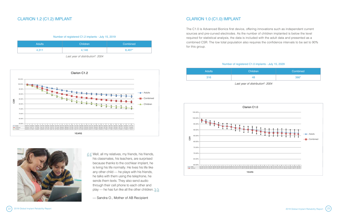



**COM** Well, all my relatives, my friends, his friends, his classmates, his teachers, are surprised because thanks to the cochlear implant, he is living his life normally. He lives his life like any other child — he plays with his friends, he talks with them using the telephone, he sends them texts. They also send audio through their cell phone to each other and play — he has fun like all the other children.

| <b>Adults</b> | <b>Children</b> | Combined |
|---------------|-----------------|----------|
| 4.311         | 4,146           | 8,497*   |

Number of registered C1.2 implants - July 15, 2019

*Last year of distribution9 : 2004*

# CLARION 1.2 (C1.2) IMPLANT CLARION 1.0 (C1.0) IMPLANT

| <b>Adults</b> | <b>Children</b> | Combined |
|---------------|-----------------|----------|
| 316           | 48              | $366*$   |

### Number of registered C1.0 implants - July 15, 2029



*Last year of distribution9 : 2004*

The C1.0 is Advanced Bionics first device, offering innovations such as independent current sources and pre-curved electrodes. As the number of children implanted is below the level required for statistical analysis, the data is included with the adult data and presented as a combined CSR. The low total population also requires the confidence intervals to be set to 90% for this group.



— Sandra O., Mother of AB Recipient